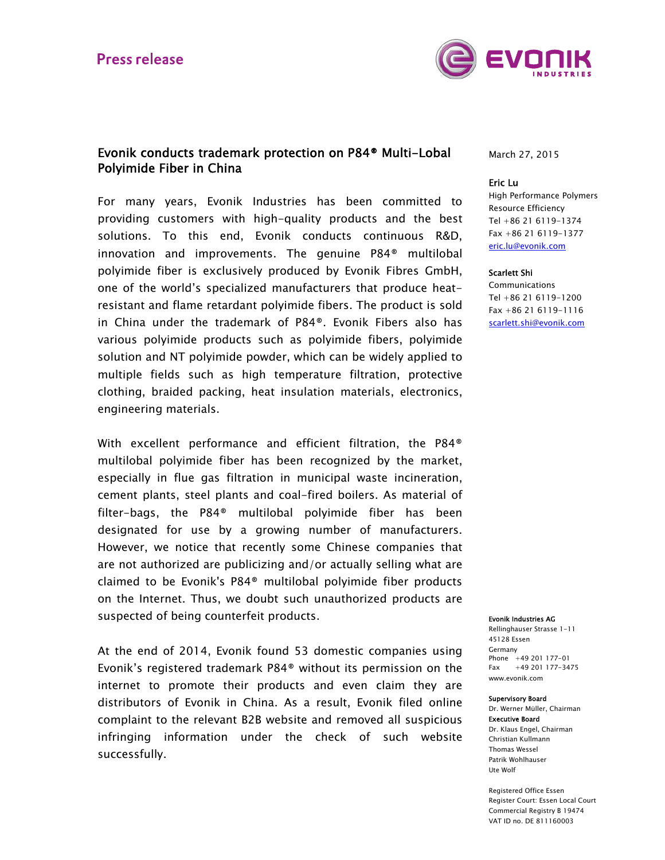

## Evonik conducts trademark protection on P84® Multi-Lobal Polyimide Fiber in China

For many years, Evonik Industries has been committed to providing customers with high-quality products and the best solutions. To this end, Evonik conducts continuous R&D, innovation and improvements. The genuine P84® multilobal polyimide fiber is exclusively produced by Evonik Fibres GmbH, one of the world's specialized manufacturers that produce heatresistant and flame retardant polyimide fibers. The product is sold in China under the trademark of P84®. Evonik Fibers also has various polyimide products such as polyimide fibers, polyimide solution and NT polyimide powder, which can be widely applied to multiple fields such as high temperature filtration, protective clothing, braided packing, heat insulation materials, electronics, engineering materials.

With excellent performance and efficient filtration, the P84® multilobal polyimide fiber has been recognized by the market, especially in flue gas filtration in municipal waste incineration, cement plants, steel plants and coal-fired boilers. As material of filter-bags, the P84® multilobal polyimide fiber has been designated for use by a growing number of manufacturers. However, we notice that recently some Chinese companies that are not authorized are publicizing and/or actually selling what are claimed to be Evonik's P84® multilobal polyimide fiber products on the Internet. Thus, we doubt such unauthorized products are suspected of being counterfeit products.

At the end of 2014, Evonik found 53 domestic companies using Evonik's registered trademark P84® without its permission on the internet to promote their products and even claim they are distributors of Evonik in China. As a result, Evonik filed online complaint to the relevant B2B website and removed all suspicious infringing information under the check of such website successfully.

March 27, 2015

## Eric Lu

High Performance Polymers Resource Efficiency Tel +86 21 6119-1374 Fax +86 21 6119-1377 eric.lu@evonik.com

## Scarlett Shi

Communications Tel +86 21 6119-1200 Fax +86 21 6119-1116 scarlett.shi@evonik.com

#### Evonik Industries AG

Rellinghauser Strasse 1-11 45128 Essen Germany Phone +49 201 177-01 Fax +49 201 177-3475 www.evonik.com

### Supervisory Board

Dr. Werner Müller, Chairman Executive Board Dr. Klaus Engel, Chairman Christian Kullmann Thomas Wessel

Patrik Wohlhauser Ute Wolf Registered Office Essen

Register Court: Essen Local Court Commercial Registry B 19474 VAT ID no. DE 811160003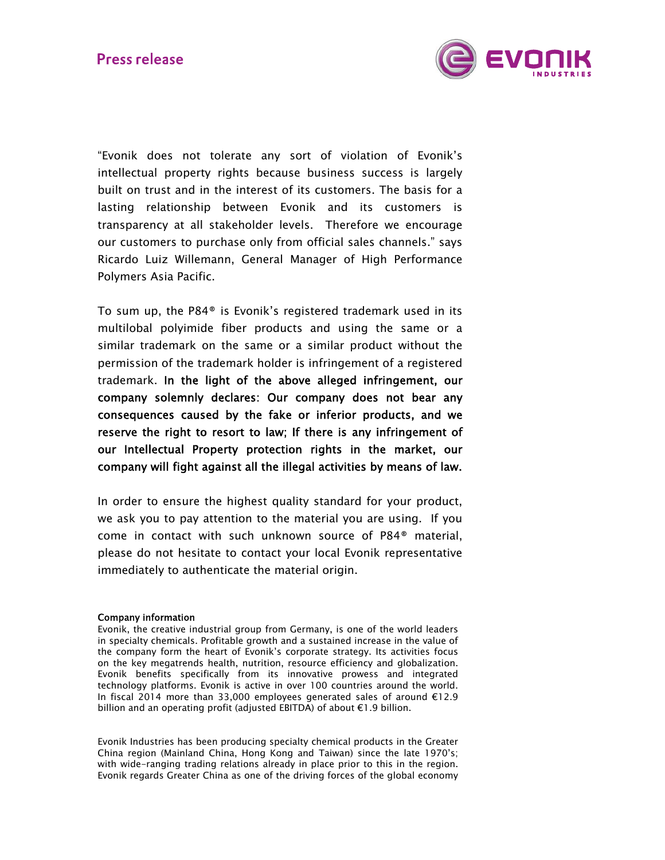

"Evonik does not tolerate any sort of violation of Evonik's intellectual property rights because business success is largely built on trust and in the interest of its customers. The basis for a lasting relationship between Evonik and its customers is transparency at all stakeholder levels. Therefore we encourage our customers to purchase only from official sales channels." says Ricardo Luiz Willemann, General Manager of High Performance Polymers Asia Pacific.

To sum up, the P84® is Evonik's registered trademark used in its multilobal polyimide fiber products and using the same or a similar trademark on the same or a similar product without the permission of the trademark holder is infringement of a registered trademark. In the light of the above alleged infringement, our company solemnly declares: Our company does not bear any consequences caused by the fake or inferior products, and we reserve the right to resort to law; If there is any infringement of our Intellectual Property protection rights in the market, our company will fight against all the illegal activities by means of law.

In order to ensure the highest quality standard for your product, we ask you to pay attention to the material you are using. If you come in contact with such unknown source of P84® material, please do not hesitate to contact your local Evonik representative immediately to authenticate the material origin.

## Company information

Evonik, the creative industrial group from Germany, is one of the world leaders in specialty chemicals. Profitable growth and a sustained increase in the value of the company form the heart of Evonik's corporate strategy. Its activities focus on the key megatrends health, nutrition, resource efficiency and globalization. Evonik benefits specifically from its innovative prowess and integrated technology platforms. Evonik is active in over 100 countries around the world. In fiscal 2014 more than 33,000 employees generated sales of around €12.9 billion and an operating profit (adjusted EBITDA) of about €1.9 billion.

Evonik Industries has been producing specialty chemical products in the Greater China region (Mainland China, Hong Kong and Taiwan) since the late 1970's; with wide-ranging trading relations already in place prior to this in the region. Evonik regards Greater China as one of the driving forces of the global economy